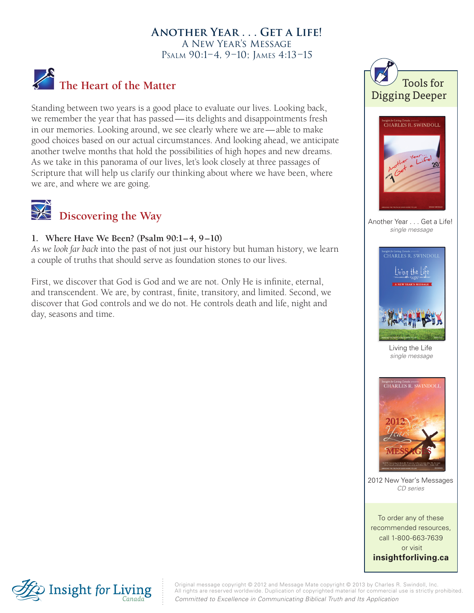# **Another Year . . . Get a Life!** A New Year's Message Psalm 90:1–4, 9–10; James 4:13–15



Standing between two years is a good place to evaluate our lives. Looking back, we remember the year that has passed—its delights and disappointments fresh in our memories. Looking around, we see clearly where we are—able to make good choices based on our actual circumstances. And looking ahead, we anticipate another twelve months that hold the possibilities of high hopes and new dreams. As we take in this panorama of our lives, let's look closely at three passages of Scripture that will help us clarify our thinking about where we have been, where we are, and where we are going.



# **Discovering the Way**

#### **1. Where Have We Been? (Psalm 90:1–4, 9–10)**

*As we look far back* into the past of not just our history but human history, we learn a couple of truths that should serve as foundation stones to our lives.

First, we discover that God is God and we are not. Only He is infinite, eternal, and transcendent. We are, by contrast, finite, transitory, and limited. Second, we discover that God controls and we do not. He controls death and life, night and day, seasons and time.





Another Year . . . Get a Life!  *single message*



Living the Life  *single message*



2012 New Year's Messages *CD series*

To order any of these recommended resources, call 1-800-663-7639 or visit **insightforliving.ca**



Original message copyright © 2012 and Message Mate copyright © 2013 by Charles R. Swindoll, Inc. All rights are reserved worldwide. Duplication of copyrighted material for commercial use is strictly prohibited. *Committed to Excellence in Communicating Biblical Truth and Its Application*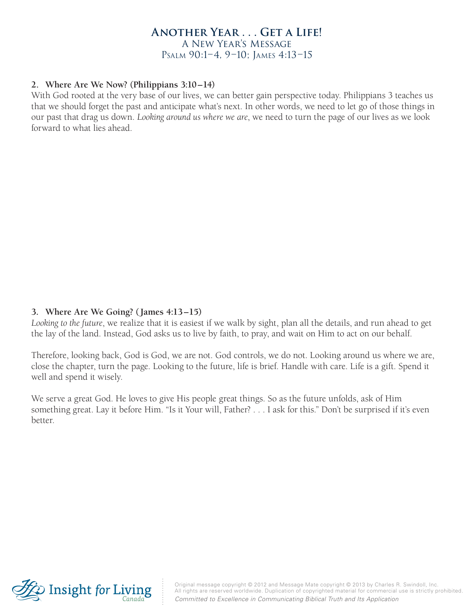### **Another Year . . . Get a Life!** A New Year's Message Psalm 90:1–4, 9–10; James 4:13–15

#### **2. Where Are We Now? (Philippians 3:10–14)**

With God rooted at the very base of our lives, we can better gain perspective today. Philippians 3 teaches us that we should forget the past and anticipate what's next. In other words, we need to let go of those things in our past that drag us down. *Looking around us where we are*, we need to turn the page of our lives as we look forward to what lies ahead.

#### **3. Where Are We Going? (James 4:13–15)**

*Looking to the future*, we realize that it is easiest if we walk by sight, plan all the details, and run ahead to get the lay of the land. Instead, God asks us to live by faith, to pray, and wait on Him to act on our behalf.

Therefore, looking back, God is God, we are not. God controls, we do not. Looking around us where we are, close the chapter, turn the page. Looking to the future, life is brief. Handle with care. Life is a gift. Spend it well and spend it wisely.

We serve a great God. He loves to give His people great things. So as the future unfolds, ask of Him something great. Lay it before Him. "Is it Your will, Father? . . . I ask for this." Don't be surprised if it's even better.



Original message copyright © 2012 and Message Mate copyright © 2013 by Charles R. Swindoll, Inc. All rights are reserved worldwide. Duplication of copyrighted material for commercial use is strictly prohibited. *Committed to Excellence in Communicating Biblical Truth and Its Application*